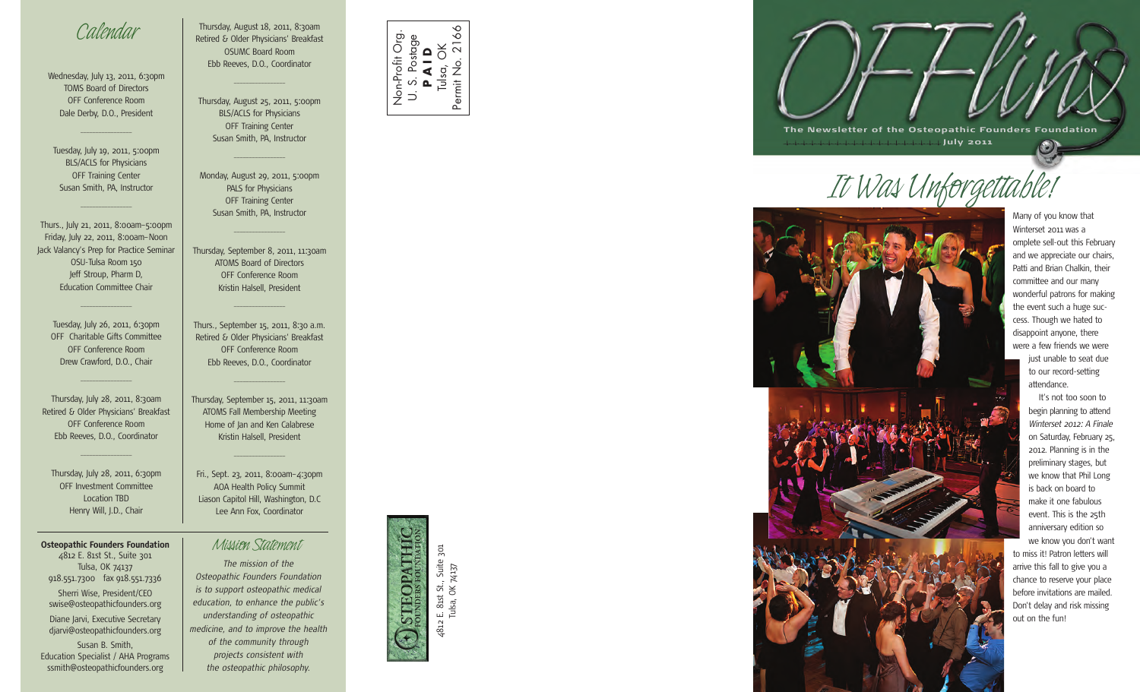### *Calendar*

Wednesday, July 13, 2011, 6:30pm TOMS Board of Directors OFF Conference Room Dale Derby, D.O., President

 $\overline{\phantom{a}}$  , where  $\overline{\phantom{a}}$ 

Tuesday, July 19, 2011, 5:00pm BLS/ACLS for Physicians OFF Training Center Susan Smith, PA, Instructor

 $\overline{\phantom{a}}$  , where  $\overline{\phantom{a}}$ 

Thurs., July 21, 2011, 8:00am–5:00pm Friday, July 22, 2011, 8:00am–Noon Jack Valancy's Prep for Practice Seminar OSU-Tulsa Room 150 Jeff Stroup, Pharm D, Education Committee Chair

Tuesday, July 26, 2011, 6:30pm OFF Charitable Gifts Committee OFF Conference Room Drew Crawford, D.O., Chair

 $\overline{\phantom{a}}$  , where  $\overline{\phantom{a}}$ 

 $\overline{\phantom{a}}$  , where  $\overline{\phantom{a}}$ 

Thursday, July 28, 2011, 8:30am Retired & Older Physicians' Breakfast OFF Conference Room Ebb Reeves, D.O., Coordinator

 $\overline{\phantom{a}}$  , where  $\overline{\phantom{a}}$ 

Thursday, July 28, 2011, 6:30pm OFF Investment Committee Location TBD Henry Will, J.D., Chair

**Osteopathic Founders Foundation** *Mission Statement* 4812 E. 81st St., Suite 301 Tulsa, OK 74137 918.551.7300 fax 918.551.7336 Sherri Wise, President/CEO swise@osteopathicfounders.org Diane Jarvi, Executive Secretary djarvi@osteopathicfounders.org Susan B. Smith, Education Specialist / AHA Programs ssmith@osteopathicfounders.org

Thursday, August 18, 2011, 8:30am Retired & Older Physicians' Breakfast OSUMC Board Room Ebb Reeves, D.O., Coordinator  $\overline{\phantom{a}}$  , where  $\overline{\phantom{a}}$ 

Thursday, August 25, 2011, 5:00pm BLS/ACLS for Physicians OFF Training Center Susan Smith, PA, Instructor

 $\overline{\phantom{a}}$  , where  $\overline{\phantom{a}}$ 

Monday, August 29, 2011, 5:00pm PALS for Physicians OFF Training Center Susan Smith, PA, Instructor

 $\overline{\phantom{a}}$  , where  $\overline{\phantom{a}}$ 

Thursday, September 8, 2011, 11:30am ATOMS Board of Directors OFF Conference Room Kristin Halsell, President

Thurs., September 15, 2011, 8:30 a.m. Retired & Older Physicians' Breakfast OFF Conference Room Ebb Reeves, D.O., Coordinator

 $\overline{\phantom{a}}$  , where  $\overline{\phantom{a}}$ 

 $\overline{\phantom{a}}$  , where  $\overline{\phantom{a}}$ 

Thursday, September 15, 2011, 11:30am ATOMS Fall Membership Meeting Home of Jan and Ken Calabrese Kristin Halsell, President

 $\overline{\phantom{a}}$  , where  $\overline{\phantom{a}}$ 

Fri., Sept. 23, 2011, 8:00am–4:30pm AOA Health Policy Summit Liason Capitol Hill, Washington, D.C Lee Ann Fox, Coordinator



*The mission of the Osteopathic Founders Foundation is to support osteopathic medical education, to enhance the public's understanding of osteopathic medicine, and to improve the health of the community through projects consistent with the osteopathic philosophy.*



4812 E. 81st St., Suite 301 Tulsa, OK 74137

. 81st St., Suite 301<br>
Ilsa, OK 74137

E. 81st<br>Tulsa, 4812

**HOPATHIC** 



*It Was Unforgettable!*



Many of you know that Winterset 2011 was a omplete sell-out this February and we appreciate our chairs, Patti and Brian Chalkin, their committee and our many wonderful patrons for making the event such a huge success. Though we hated to disappoint anyone, there were a few friends we were just unable to seat due to our record-setting attendance. It's not too soon to begin planning to attend *Winterset 2012: A Finale* on Saturday, February 25, 2012. Planning is in the preliminary stages, but we know that Phil Long is back on board to make it one fabulous event. This is the 25th

anniversary edition so we know you don't want to miss it! Patron letters will arrive this fall to give you a chance to reserve your place before invitations are mailed. Don't delay and risk missing out on the fun!